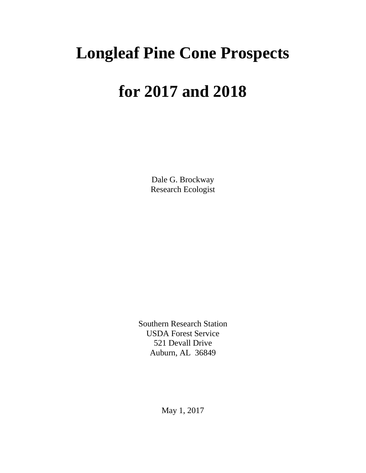## **Longleaf Pine Cone Prospects**

## **for 2017 and 2018**

Dale G. Brockway Research Ecologist

Southern Research Station USDA Forest Service 521 Devall Drive Auburn, AL 36849

May 1, 2017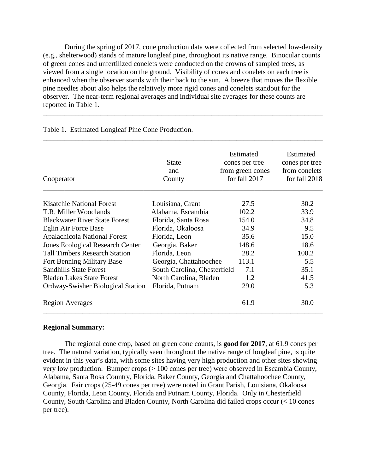During the spring of 2017, cone production data were collected from selected low-density (e.g., shelterwood) stands of mature longleaf pine, throughout its native range. Binocular counts of green cones and unfertilized conelets were conducted on the crowns of sampled trees, as viewed from a single location on the ground. Visibility of cones and conelets on each tree is enhanced when the observer stands with their back to the sun. A breeze that moves the flexible pine needles about also helps the relatively more rigid cones and conelets standout for the observer. The near-term regional averages and individual site averages for these counts are reported in Table 1.

\_\_\_\_\_\_\_\_\_\_\_\_\_\_\_\_\_\_\_\_\_\_\_\_\_\_\_\_\_\_\_\_\_\_\_\_\_\_\_\_\_\_\_\_\_\_\_\_\_\_\_\_\_\_\_\_\_\_\_\_\_\_\_\_\_\_\_\_\_\_\_\_\_\_\_\_\_\_

| Cooperator                              | <b>State</b><br>and<br>County | Estimated<br>cones per tree<br>from green cones<br>for fall 2017 | Estimated<br>cones per tree<br>from conelets<br>for fall 2018 |
|-----------------------------------------|-------------------------------|------------------------------------------------------------------|---------------------------------------------------------------|
| <b>Kisatchie National Forest</b>        | Louisiana, Grant              | 27.5                                                             | 30.2                                                          |
| T.R. Miller Woodlands                   | Alabama, Escambia             | 102.2                                                            | 33.9                                                          |
| <b>Blackwater River State Forest</b>    | Florida, Santa Rosa           | 154.0                                                            | 34.8                                                          |
| Eglin Air Force Base                    | Florida, Okaloosa             | 34.9                                                             | 9.5                                                           |
| <b>Apalachicola National Forest</b>     | Florida, Leon                 | 35.6                                                             | 15.0                                                          |
| <b>Jones Ecological Research Center</b> | Georgia, Baker                | 148.6                                                            | 18.6                                                          |
| <b>Tall Timbers Research Station</b>    | Florida, Leon                 | 28.2                                                             | 100.2                                                         |
| Fort Benning Military Base              | Georgia, Chattahoochee        | 113.1                                                            | 5.5                                                           |
| <b>Sandhills State Forest</b>           | South Carolina, Chesterfield  | 7.1                                                              | 35.1                                                          |
| <b>Bladen Lakes State Forest</b>        | North Carolina, Bladen        | 1.2                                                              | 41.5                                                          |
| Ordway-Swisher Biological Station       | Florida, Putnam               | 29.0                                                             | 5.3                                                           |
| <b>Region Averages</b>                  |                               | 61.9                                                             | 30.0                                                          |

Table 1. Estimated Longleaf Pine Cone Production.

#### **Regional Summary:**

The regional cone crop, based on green cone counts, is **good for 2017**, at 61.9 cones per tree. The natural variation, typically seen throughout the native range of longleaf pine, is quite evident in this year's data, with some sites having very high production and other sites showing very low production. Bumper crops ( $\geq 100$  cones per tree) were observed in Escambia County, Alabama, Santa Rosa Country, Florida, Baker County, Georgia and Chattahoochee County, Georgia. Fair crops (25-49 cones per tree) were noted in Grant Parish, Louisiana, Okaloosa County, Florida, Leon County, Florida and Putnam County, Florida. Only in Chesterfield County, South Carolina and Bladen County, North Carolina did failed crops occur (< 10 cones per tree).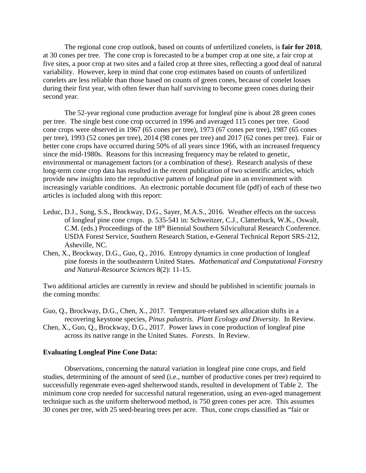The regional cone crop outlook, based on counts of unfertilized conelets, is **fair for 2018**, at 30 cones per tree. The cone crop is forecasted to be a bumper crop at one site, a fair crop at five sites, a poor crop at two sites and a failed crop at three sites, reflecting a good deal of natural variability. However, keep in mind that cone crop estimates based on counts of unfertilized conelets are less reliable than those based on counts of green cones, because of conelet losses during their first year, with often fewer than half surviving to become green cones during their second year.

The 52-year regional cone production average for longleaf pine is about 28 green cones per tree. The single best cone crop occurred in 1996 and averaged 115 cones per tree. Good cone crops were observed in 1967 (65 cones per tree), 1973 (67 cones per tree), 1987 (65 cones per tree), 1993 (52 cones per tree), 2014 (98 cones per tree) and 2017 (62 cones per tree). Fair or better cone crops have occurred during 50% of all years since 1966, with an increased frequency since the mid-1980s. Reasons for this increasing frequency may be related to genetic, environmental or management factors (or a combination of these). Research analysis of these long-term cone crop data has resulted in the recent publication of two scientific articles, which provide new insights into the reproductive pattern of longleaf pine in an environment with increasingly variable conditions. An electronic portable document file (pdf) of each of these two articles is included along with this report:

- Leduc, D.J., Sung, S.S., Brockway, D.G., Sayer, M.A.S., 2016. Weather effects on the success of longleaf pine cone crops. p. 535-541 in: Schweitzer, C.J., Clatterbuck, W.K., Oswalt, C.M. (eds.) Proceedings of the 18<sup>th</sup> Biennial Southern Silvicultural Research Conference. USDA Forest Service, Southern Research Station, e-General Technical Report SRS-212, Asheville, NC.
- Chen, X., Brockway, D.G., Guo, Q., 2016. Entropy dynamics in cone production of longleaf pine forests in the southeastern United States. *Mathematical and Computational Forestry and Natural-Resource Sciences* 8(2): 11-15.

Two additional articles are currently in review and should be published in scientific journals in the coming months:

- Guo, Q., Brockway, D.G., Chen, X., 2017. Temperature-related sex allocation shifts in a recovering keystone species, *Pinus palustris*. *Plant Ecology and Diversity*. In Review.
- Chen, X., Guo, Q., Brockway, D.G., 2017. Power laws in cone production of longleaf pine across its native range in the United States. *Forests*. In Review.

#### **Evaluating Longleaf Pine Cone Data:**

Observations, concerning the natural variation in longleaf pine cone crops, and field studies, determining of the amount of seed (i.e., number of productive cones per tree) required to successfully regenerate even-aged shelterwood stands, resulted in development of Table 2. The minimum cone crop needed for successful natural regeneration, using an even-aged management technique such as the uniform shelterwood method, is 750 green cones per acre. This assumes 30 cones per tree, with 25 seed-bearing trees per acre. Thus, cone crops classified as "fair or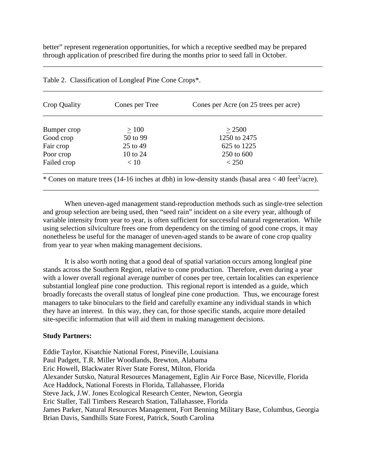better" represent regeneration opportunities, for which a receptive seedbed may be prepared through application of prescribed fire during the months prior to seed fall in October.

\_\_\_\_\_\_\_\_\_\_\_\_\_\_\_\_\_\_\_\_\_\_\_\_\_\_\_\_\_\_\_\_\_\_\_\_\_\_\_\_\_\_\_\_\_\_\_\_\_\_\_\_\_\_\_\_\_\_\_\_\_\_\_\_\_\_\_\_\_\_\_\_\_\_\_\_\_\_

\_\_\_\_\_\_\_\_\_\_\_\_\_\_\_\_\_\_\_\_\_\_\_\_\_\_\_\_\_\_\_\_\_\_\_\_\_\_\_\_\_\_\_\_\_\_\_\_\_\_\_\_\_\_\_\_\_\_\_\_\_\_\_\_\_\_\_\_\_\_\_\_\_\_\_\_\_\_

| Crop Quality | Cones per Tree | Cones per Acre (on 25 trees per acre)                                                                            |
|--------------|----------------|------------------------------------------------------------------------------------------------------------------|
| Bumper crop  | >100           | > 2500                                                                                                           |
| Good crop    | 50 to 99       | 1250 to 2475                                                                                                     |
| Fair crop    | 25 to 49       | 625 to 1225                                                                                                      |
| Poor crop    | 10 to 24       | 250 to 600                                                                                                       |
| Failed crop  | < 10           | < 250                                                                                                            |
|              |                | * Cones on mature trees (14-16 inches at dbh) in low-density stands (basal area $<$ 40 feet <sup>2</sup> /acre). |

Table 2. Classification of Longleaf Pine Cone Crops\*.

When uneven-aged management stand-reproduction methods such as single-tree selection and group selection are being used, then "seed rain" incident on a site every year, although of variable intensity from year to year, is often sufficient for successful natural regeneration. While using selection silviculture frees one from dependency on the timing of good cone crops, it may nonetheless be useful for the manager of uneven-aged stands to be aware of cone crop quality

\_\_\_\_\_\_\_\_\_\_\_\_\_\_\_\_\_\_\_\_\_\_\_\_\_\_\_\_\_\_\_\_\_\_\_\_\_\_\_\_\_\_\_\_\_\_\_\_\_\_\_\_\_\_\_\_\_\_\_\_\_\_\_\_\_\_\_\_\_\_\_\_\_\_\_\_\_

from year to year when making management decisions. It is also worth noting that a good deal of spatial variation occurs among longleaf pine stands across the Southern Region, relative to cone production. Therefore, even during a year with a lower overall regional average number of cones per tree, certain localities can experience substantial longleaf pine cone production. This regional report is intended as a guide, which

broadly forecasts the overall status of longleaf pine cone production. Thus, we encourage forest managers to take binoculars to the field and carefully examine any individual stands in which they have an interest. In this way, they can, for those specific stands, acquire more detailed site-specific information that will aid them in making management decisions.

#### **Study Partners:**

Eddie Taylor, Kisatchie National Forest, Pineville, Louisiana Paul Padgett, T.R. Miller Woodlands, Brewton, Alabama Eric Howell, Blackwater River State Forest, Milton, Florida Alexander Sutsko, Natural Resources Management, Eglin Air Force Base, Niceville, Florida Ace Haddock, National Forests in Florida, Tallahassee, Florida Steve Jack, J.W. Jones Ecological Research Center, Newton, Georgia Eric Staller, Tall Timbers Research Station, Tallahassee, Florida James Parker, Natural Resources Management, Fort Benning Military Base, Columbus, Georgia Brian Davis, Sandhills State Forest, Patrick, South Carolina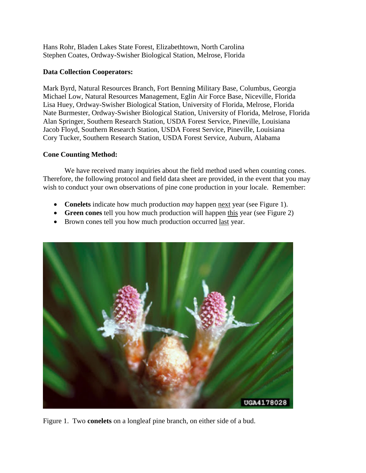Hans Rohr, Bladen Lakes State Forest, Elizabethtown, North Carolina Stephen Coates, Ordway-Swisher Biological Station, Melrose, Florida

#### **Data Collection Cooperators:**

Mark Byrd, Natural Resources Branch, Fort Benning Military Base, Columbus, Georgia Michael Low, Natural Resources Management, Eglin Air Force Base, Niceville, Florida Lisa Huey, Ordway-Swisher Biological Station, University of Florida, Melrose, Florida Nate Burmester, Ordway-Swisher Biological Station, University of Florida, Melrose, Florida Alan Springer, Southern Research Station, USDA Forest Service, Pineville, Louisiana Jacob Floyd, Southern Research Station, USDA Forest Service, Pineville, Louisiana Cory Tucker, Southern Research Station, USDA Forest Service, Auburn, Alabama

#### **Cone Counting Method:**

We have received many inquiries about the field method used when counting cones. Therefore, the following protocol and field data sheet are provided, in the event that you may wish to conduct your own observations of pine cone production in your locale. Remember:

- **Conelets** indicate how much production *may* happen next year (see Figure 1).
- **Green cones** tell you how much production will happen this year (see Figure 2)
- Brown cones tell you how much production occurred last year.



Figure 1. Two **conelets** on a longleaf pine branch, on either side of a bud.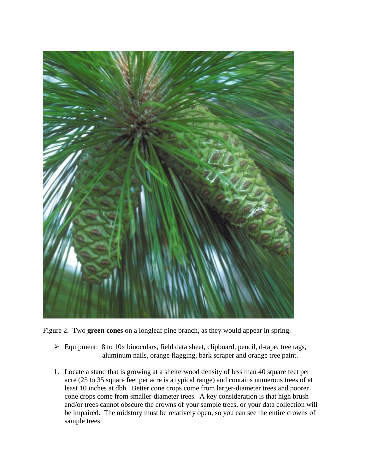

Figure 2. Two **green cones** on a longleaf pine branch, as they would appear in spring.

- $\triangleright$  Equipment: 8 to 10x binoculars, field data sheet, clipboard, pencil, d-tape, tree tags, aluminum nails, orange flagging, bark scraper and orange tree paint.
- 1. Locate a stand that is growing at a shelterwood density of less than 40 square feet per acre (25 to 35 square feet per acre is a typical range) and contains numerous trees of at least 10 inches at dbh. Better cone crops come from larger-diameter trees and poorer cone crops come from smaller-diameter trees. A key consideration is that high brush and/or trees cannot obscure the crowns of your sample trees, or your data collection will be impaired. The midstory must be relatively open, so you can see the entire crowns of sample trees.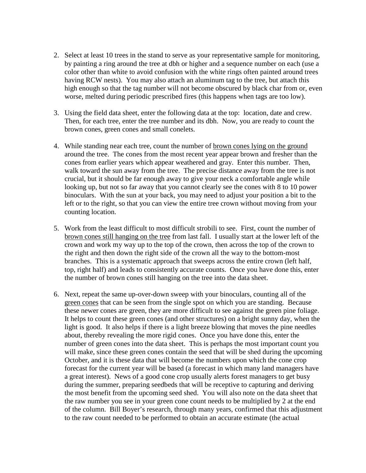- 2. Select at least 10 trees in the stand to serve as your representative sample for monitoring, by painting a ring around the tree at dbh or higher and a sequence number on each (use a color other than white to avoid confusion with the white rings often painted around trees having RCW nests). You may also attach an aluminum tag to the tree, but attach this high enough so that the tag number will not become obscured by black char from or, even worse, melted during periodic prescribed fires (this happens when tags are too low).
- 3. Using the field data sheet, enter the following data at the top: location, date and crew. Then, for each tree, enter the tree number and its dbh. Now, you are ready to count the brown cones, green cones and small conelets.
- 4. While standing near each tree, count the number of brown cones lying on the ground around the tree. The cones from the most recent year appear brown and fresher than the cones from earlier years which appear weathered and gray. Enter this number. Then, walk toward the sun away from the tree. The precise distance away from the tree is not crucial, but it should be far enough away to give your neck a comfortable angle while looking up, but not so far away that you cannot clearly see the cones with 8 to 10 power binoculars. With the sun at your back, you may need to adjust your position a bit to the left or to the right, so that you can view the entire tree crown without moving from your counting location.
- 5. Work from the least difficult to most difficult strobili to see. First, count the number of brown cones still hanging on the tree from last fall. I usually start at the lower left of the crown and work my way up to the top of the crown, then across the top of the crown to the right and then down the right side of the crown all the way to the bottom-most branches. This is a systematic approach that sweeps across the entire crown (left half, top, right half) and leads to consistently accurate counts. Once you have done this, enter the number of brown cones still hanging on the tree into the data sheet.
- 6. Next, repeat the same up-over-down sweep with your binoculars, counting all of the green cones that can be seen from the single spot on which you are standing. Because these newer cones are green, they are more difficult to see against the green pine foliage. It helps to count these green cones (and other structures) on a bright sunny day, when the light is good. It also helps if there is a light breeze blowing that moves the pine needles about, thereby revealing the more rigid cones. Once you have done this, enter the number of green cones into the data sheet. This is perhaps the most important count you will make, since these green cones contain the seed that will be shed during the upcoming October, and it is these data that will become the numbers upon which the cone crop forecast for the current year will be based (a forecast in which many land managers have a great interest). News of a good cone crop usually alerts forest managers to get busy during the summer, preparing seedbeds that will be receptive to capturing and deriving the most benefit from the upcoming seed shed. You will also note on the data sheet that the raw number you see in your green cone count needs to be multiplied by 2 at the end of the column. Bill Boyer's research, through many years, confirmed that this adjustment to the raw count needed to be performed to obtain an accurate estimate (the actual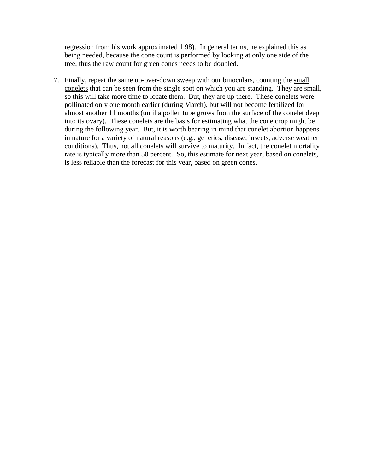regression from his work approximated 1.98). In general terms, he explained this as being needed, because the cone count is performed by looking at only one side of the tree, thus the raw count for green cones needs to be doubled.

7. Finally, repeat the same up-over-down sweep with our binoculars, counting the small conelets that can be seen from the single spot on which you are standing. They are small, so this will take more time to locate them. But, they are up there. These conelets were pollinated only one month earlier (during March), but will not become fertilized for almost another 11 months (until a pollen tube grows from the surface of the conelet deep into its ovary). These conelets are the basis for estimating what the cone crop might be during the following year. But, it is worth bearing in mind that conelet abortion happens in nature for a variety of natural reasons (e.g., genetics, disease, insects, adverse weather conditions). Thus, not all conelets will survive to maturity. In fact, the conelet mortality rate is typically more than 50 percent. So, this estimate for next year, based on conelets, is less reliable than the forecast for this year, based on green cones.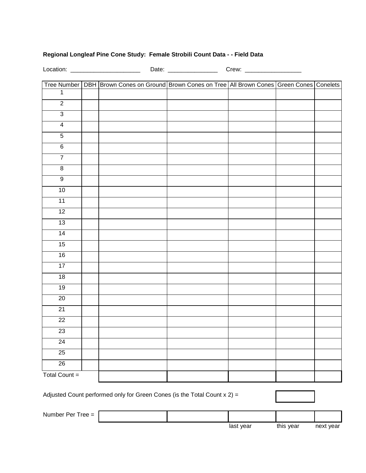#### **Regional Longleaf Pine Cone Study: Female Strobili Count Data - - Field Data**

Location: \_\_\_\_\_\_\_\_\_\_\_\_\_\_\_\_\_\_\_\_\_ Date: \_\_\_\_\_\_\_\_\_\_\_\_\_\_\_ Crew: \_\_\_\_\_\_\_\_\_\_\_\_\_\_\_\_\_

|                    | Tree Number   DBH   Brown Cones on Ground   Brown Cones on Tree   All Brown Cones   Green Cones   Conelets |  |  |
|--------------------|------------------------------------------------------------------------------------------------------------|--|--|
| $\mathbf{1}$       |                                                                                                            |  |  |
| $\overline{2}$     |                                                                                                            |  |  |
| $\overline{3}$     |                                                                                                            |  |  |
| $\overline{4}$     |                                                                                                            |  |  |
| $\overline{5}$     |                                                                                                            |  |  |
| $\overline{6}$     |                                                                                                            |  |  |
| $\overline{7}$     |                                                                                                            |  |  |
| $\overline{\bf 8}$ |                                                                                                            |  |  |
| $\overline{9}$     |                                                                                                            |  |  |
| 10                 |                                                                                                            |  |  |
| 11                 |                                                                                                            |  |  |
| 12                 |                                                                                                            |  |  |
| 13                 |                                                                                                            |  |  |
| 14                 |                                                                                                            |  |  |
| 15                 |                                                                                                            |  |  |
| 16                 |                                                                                                            |  |  |
| 17                 |                                                                                                            |  |  |
| 18                 |                                                                                                            |  |  |
| 19                 |                                                                                                            |  |  |
| 20                 |                                                                                                            |  |  |
| 21                 |                                                                                                            |  |  |
| $\overline{22}$    |                                                                                                            |  |  |
| 23                 |                                                                                                            |  |  |
| 24                 |                                                                                                            |  |  |
| 25                 |                                                                                                            |  |  |
| 26                 |                                                                                                            |  |  |
| Total Count $=$    |                                                                                                            |  |  |

Adjusted Count performed only for Green Cones (is the Total Count  $x 2$ ) =

Number Per Tree =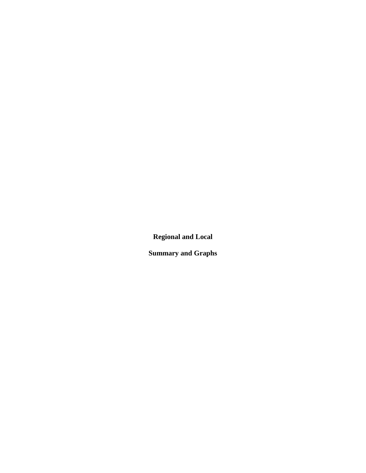**Regional and Local**

**Summary and Graphs**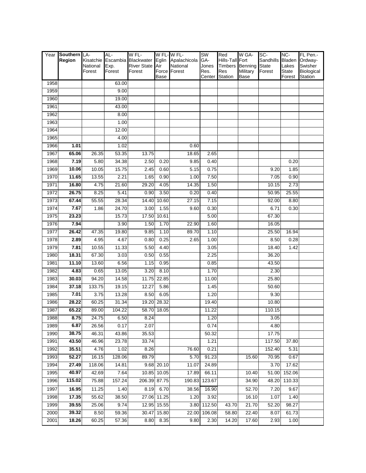|      | Year Southern LA- |                    | AL-            | W FL-                        |             | W FL-W FL-               | <b>SW</b>     | Red                   | W GA-                            | SC-       | NC-                   | FL Pen.-              |
|------|-------------------|--------------------|----------------|------------------------------|-------------|--------------------------|---------------|-----------------------|----------------------------------|-----------|-----------------------|-----------------------|
|      | Region            | Kisatchie          |                | Escambia Blackwater          |             | Eglin Apalachicola       | GA-           | Hills-Tall Fort       |                                  | Sandhills |                       | Bladen Ordway-        |
|      |                   | National<br>Forest | Exp.<br>Forest | <b>River State</b><br>Forest | Air         | National<br>Force Forest | Jones<br>Res. | <b>Timbers</b><br>Res | <b>Benning State</b><br>Military | Forest    | Lakes<br><b>State</b> | Swisher<br>Biological |
|      |                   |                    |                |                              | Base        |                          | Center        | Station               | Base                             |           | Forest                | Station               |
| 1958 |                   |                    | 63.00          |                              |             |                          |               |                       |                                  |           |                       |                       |
| 1959 |                   |                    | 9.00           |                              |             |                          |               |                       |                                  |           |                       |                       |
| 1960 |                   |                    | 19.00          |                              |             |                          |               |                       |                                  |           |                       |                       |
| 1961 |                   |                    | 43.00          |                              |             |                          |               |                       |                                  |           |                       |                       |
| 1962 |                   |                    | 8.00           |                              |             |                          |               |                       |                                  |           |                       |                       |
| 1963 |                   |                    | 1.00           |                              |             |                          |               |                       |                                  |           |                       |                       |
| 1964 |                   |                    | 12.00          |                              |             |                          |               |                       |                                  |           |                       |                       |
| 1965 |                   |                    | 4.00           |                              |             |                          |               |                       |                                  |           |                       |                       |
| 1966 | 1.01              |                    | 1.02           |                              |             | 0.60                     |               |                       |                                  |           |                       |                       |
| 1967 | 65.06             | 26.35              | 53.35          | 13.75                        |             | 18.65                    | 2.65          |                       |                                  |           |                       |                       |
| 1968 | 7.19              | 5.80               | 34.38          | 2.50                         | 0.20        | 9.85                     | 0.40          |                       |                                  |           | 0.20                  |                       |
| 1969 | 10.06             | 10.05              | 15.75          | 2.45                         | 0.60        | 5.15                     | 0.75          |                       |                                  | 9.20      | 1.85                  |                       |
| 1970 | 11.65             | 13.55              | 2.21           | 1.65                         | 0.90        | 1.00                     | 7.50          |                       |                                  | 7.05      | 0.90                  |                       |
| 1971 | 16.80             | 4.75               | 21.60          | 29.20                        | 4.05        | 14.35                    | 1.50          |                       |                                  | 10.15     | 2.73                  |                       |
| 1972 | 26.75             | 8.25               | 5.41           | 0.90                         | 3.50        | 0.20                     | 0.40          |                       |                                  | 50.95     | 25.55                 |                       |
| 1973 | 67.44             | 55.55              | 28.34          | 14.40                        | 10.60       | 27.15                    | 7.15          |                       |                                  | 92.00     | 8.80                  |                       |
| 1974 | 7.67              | 1.86               | 24.70          | 3.00                         | 1.55        | 9.60                     | 0.30          |                       |                                  | 6.71      | 0.30                  |                       |
| 1975 | 23.23             |                    | 15.73          | 17.50                        | 10.61       |                          | 5.00          |                       |                                  | 67.30     |                       |                       |
| 1976 | 7.94              |                    | 3.90           | 1.50                         | 1.70        | 22.90                    | 1.60          |                       |                                  | 16.05     |                       |                       |
| 1977 | 26.42             | 47.35              | 19.80          | 9.85                         | 1.10        | 89.70                    | 1.10          |                       |                                  | 25.50     | 16.94                 |                       |
| 1978 | 2.89              | 4.95               | 4.67           | 0.80                         | 0.25        | 2.65                     | 1.00          |                       |                                  | 8.50      | 0.28                  |                       |
| 1979 | 7.81              | 10.55              | 11.33          | 5.50                         | 4.40        |                          | 3.05          |                       |                                  | 18.40     | 1.42                  |                       |
| 1980 | 18.31             | 67.30              | 3.03           | 0.50                         | 0.55        |                          | 2.25          |                       |                                  | 36.20     |                       |                       |
| 1981 | 11.10             | 13.60              | 6.56           | 1.15                         | 0.95        |                          | 0.85          |                       |                                  | 43.50     |                       |                       |
| 1982 | 4.83              | 0.65               | 13.05          | 3.20                         | 8.10        |                          | 1.70          |                       |                                  | 2.30      |                       |                       |
| 1983 | 30.03             | 94.20              | 14.58          | 11.75                        | 22.85       |                          | 11.00         |                       |                                  | 25.80     |                       |                       |
| 1984 | 37.18             | 133.75             | 19.15          | 12.27                        | 5.86        |                          | 1.45          |                       |                                  | 50.60     |                       |                       |
| 1985 | 7.01              | 3.75               | 13.28          | 8.50                         | 6.05        |                          | 1.20          |                       |                                  | 9.30      |                       |                       |
| 1986 | 28.22             | 60.25              | 31.34          | 19.20                        | 28.32       |                          | 19.40         |                       |                                  | 10.80     |                       |                       |
| 1987 | 65.22             | 89.00              | 104.22         | 58.70                        | 18.05       |                          | 11.22         |                       |                                  | 110.15    |                       |                       |
| 1988 | 8.75              | 24.75              | 6.50           | 8.24                         |             |                          | 1.20          |                       |                                  | 3.05      |                       |                       |
| 1989 | 6.87              | 26.56              | 0.17           | 2.07                         |             |                          | 0.74          |                       |                                  | 4.80      |                       |                       |
| 1990 | 38.75             | 46.31              | 43.86          | 35.53                        |             |                          | 50.32         |                       |                                  | 17.75     |                       |                       |
| 1991 | 43.50             | 46.96              | 23.78          | 33.74                        |             |                          | 1.21          |                       |                                  | 117.50    | 37.80                 |                       |
| 1992 | 35.51             | 4.76               | 1.02           | 8.26                         |             | 76.60                    | 0.21          |                       |                                  | 152.40    | 5.31                  |                       |
| 1993 | 52.27             | 16.15              | 128.06         | 89.79                        |             | 5.70                     | 91.23         |                       | 15.60                            | 70.95     | 0.67                  |                       |
| 1994 | 27.49             | 118.06             | 14.81          |                              | 9.68 20.10  | 11.07                    | 24.89         |                       |                                  | 3.70      | 17.62                 |                       |
| 1995 | 40.97             | 42.69              | 7.64           |                              | 10.85 10.05 | 17.89                    | 66.11         |                       | 10.40                            | 51.00     | 152.06                |                       |
| 1996 | 115.02            | 75.88              | 157.24         | 206.39                       | 87.75       | 190.83                   | 123.67        |                       | 34.90                            | 48.20     | 110.33                |                       |
| 1997 | 16.95             | 11.25              | 1.40           | 8.19                         | 6.70        | 38.56                    | 16.90         |                       | 52.70                            | 7.20      | 9.67                  |                       |
| 1998 | 17.35             | 55.62              | 38.50          | 27.06                        | 11.25       | 1.20                     | 3.92          |                       | 16.10                            | 1.07      | 1.40                  |                       |
| 1999 | 39.55             | 25.06              | 9.74           | 12.95                        | 15.55       | 3.80                     | 112.50        | 43.70                 | 21.70                            | 52.20     | 98.27                 |                       |
| 2000 | 39.32             | 8.50               | 59.36          | 30.47                        | 15.80       | 22.00                    | 106.08        | 58.80                 | 22.40                            | 8.07      | 61.73                 |                       |
| 2001 | 18.26             | 60.25              | 57.36          | 8.80                         | 8.35        | 9.80                     | 2.30          | 14.20                 | 17.60                            | 2.93      | 1.00                  |                       |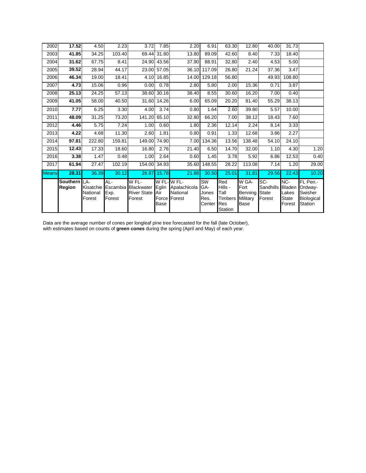| 2002         | 17.52                 | 4.50                            | 2.23                  | 3.72                                                         | 7.85                 | 2.20                                                          | 6.91                                        | 63.30                                                      | 12.80                                        | 40.00                                             | 31.73                                            |                                                               |
|--------------|-----------------------|---------------------------------|-----------------------|--------------------------------------------------------------|----------------------|---------------------------------------------------------------|---------------------------------------------|------------------------------------------------------------|----------------------------------------------|---------------------------------------------------|--------------------------------------------------|---------------------------------------------------------------|
| 2003         | 41.85                 | 34.25                           | 103.40                | 69.44                                                        | 31.80                | 13.80                                                         | 89.09                                       | 42.60                                                      | 8.40                                         | 7.33                                              | 18.40                                            |                                                               |
| 2004         | 31.62                 | 67.75                           | 8.41                  | 24.90                                                        | 43.56                | 37.90                                                         | 88.91                                       | 32.80                                                      | 2.40                                         | 4.53                                              | 5.00                                             |                                                               |
| 2005         | 39.52                 | 28.94                           | 44.17                 | 23.00                                                        | 57.05                | 36.10                                                         | 117.09                                      | 26.80                                                      | 21.24                                        | 37.36                                             | 3.47                                             |                                                               |
| 2006         | 46.34                 | 19.00                           | 18.41                 | 4.10                                                         | 16.85                | 14.00                                                         | 129.18                                      | 56.80                                                      |                                              | 49.93                                             | 108.80                                           |                                                               |
| 2007         | 4.73                  | 15.06                           | 0.96                  | 0.00                                                         | 0.78                 | 2.80                                                          | 5.80                                        | 2.00                                                       | 15.36                                        | 0.71                                              | 3.87                                             |                                                               |
| 2008         | 25.13                 | 24.25                           | 57.13                 |                                                              | 38.60 30.16          | 38.40                                                         | 8.55                                        | 30.60                                                      | 16.20                                        | 7.00                                              | 0.40                                             |                                                               |
| 2009         | 41.05                 | 58.00                           | 40.50                 | 31.60                                                        | 14.26                | 6.00                                                          | 65.09                                       | 20.20                                                      | 81.40                                        | 55.29                                             | 38.13                                            |                                                               |
| 2010         | 7.77                  | 6.25                            | 3.30                  | 4.00                                                         | 3.74                 | 0.80                                                          | 1.64                                        | 2.60                                                       | 39.80                                        | 5.57                                              | 10.00                                            |                                                               |
| 2011         | 48.09                 | 31.25                           | 73.20                 | 141.20                                                       | 65.10                | 32.80                                                         | 66.20                                       | 7.00                                                       | 38.12                                        | 18.43                                             | 7.60                                             |                                                               |
| 2012         | 4.46                  | 5.75                            | 7.24                  | 1.00                                                         | 0.60                 | 1.80                                                          | 2.36                                        | 12.14                                                      | 2.24                                         | 8.14                                              | 3.33                                             |                                                               |
| 2013         | 4.22                  | 4.68                            | 11.30                 | 2.60                                                         | 1.81                 | 0.80                                                          | 0.91                                        | 1.33                                                       | 12.68                                        | 3.86                                              | 2.27                                             |                                                               |
| 2014         | 97.81                 | 222.80                          | 159.81                | 149.00                                                       | 74.90                | 7.00                                                          | 134.36                                      | 13.56                                                      | 138.48                                       | 54.10                                             | 24.10                                            |                                                               |
| 2015         | 12.43                 | 17.33                           | 18.60                 | 16.80                                                        | 2.76                 | 21.40                                                         | 6.50                                        | 14.70                                                      | 32.00                                        | 1.10                                              | 4.30                                             | 1.20                                                          |
| 2016         | 3.38                  | 1.47                            | 0.48                  | 1.00                                                         | 2.64                 | 0.60                                                          | 1.45                                        | 3.78                                                       | 5.92                                         | 6.86                                              | 12.53                                            | 0.40                                                          |
| 2017         | 61.94                 | 27.47                           | 102.19                | 154.00                                                       | 34.93                | 35.60                                                         | 148.55                                      | 28.22                                                      | 113.08                                       | 7.14                                              | 1.20                                             | 29.00                                                         |
| <b>Means</b> | 28.31                 | 36.39                           | 30.12                 | 26.97                                                        | 15.78                | 21.88                                                         | 30.50                                       | 25.01                                                      | 31.81                                        | 29.56                                             | 22.43                                            | 10.20                                                         |
|              | Southern LA<br>Region | Kisatchie<br>National<br>Forest | AL-<br>Exp.<br>Forest | W FL-<br>Escambia Blackwater<br><b>River State</b><br>Forest | Eglin<br>Air<br>Base | W FL-W FL-<br>Apalachicola<br><b>National</b><br>Force Forest | <b>SW</b><br>GA-<br>Jones<br>Res.<br>Center | Red<br>Hills -<br>Tall<br><b>Timbers</b><br>Res<br>Station | W GA-<br>Fort<br>Benning<br>Military<br>Base | SC-<br><b>Sandhills</b><br><b>State</b><br>Forest | NC-<br><b>Bladen</b><br>Lakes<br>State<br>Forest | FL Pen.-<br>Ordway<br>Swisher<br><b>Biological</b><br>Station |

Data are the average number of cones per longleaf pine tree forecasted for the fall (late October), with estimates based on counts of **green cones** during the spring (April and May) of each year.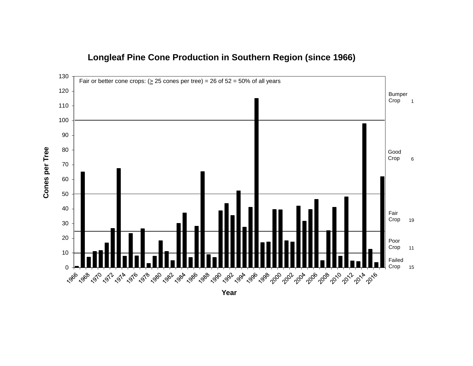

### **Longleaf Pine Cone Production in Southern Region (since 1966)**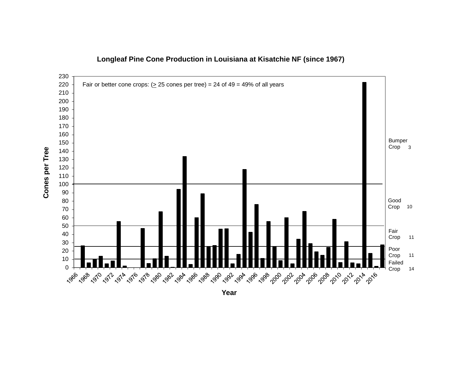

#### **Longleaf Pine Cone Production in Louisiana at Kisatchie NF (since 1967)**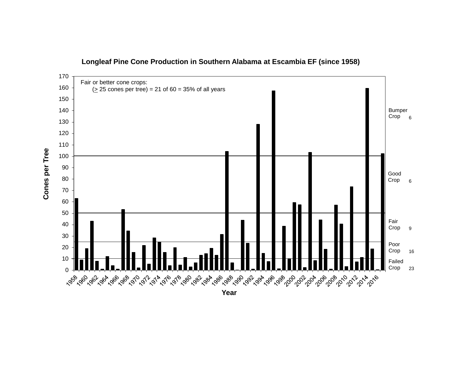

#### **Longleaf Pine Cone Production in Southern Alabama at Escambia EF (since 1958)**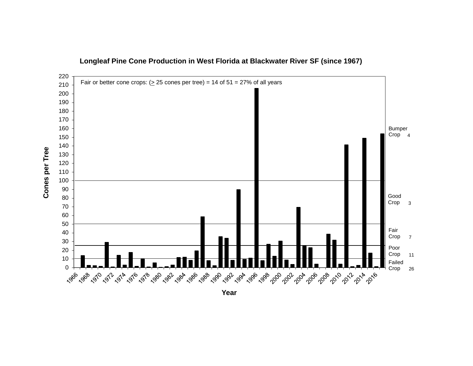

#### **Longleaf Pine Cone Production in West Florida at Blackwater River SF (since 1967)**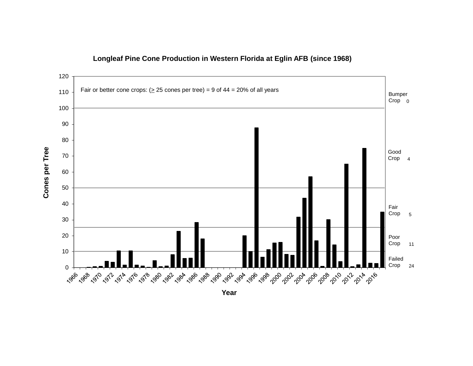

#### **Longleaf Pine Cone Production in Western Florida at Eglin AFB (since 1968)**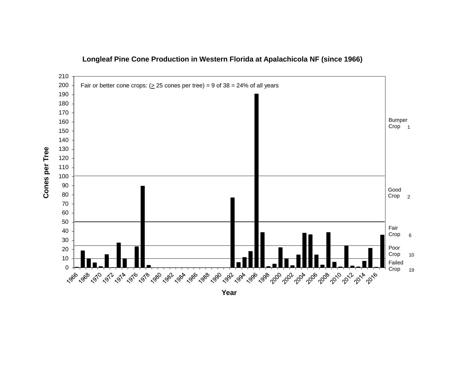

#### **Longleaf Pine Cone Production in Western Florida at Apalachicola NF (since 1966)**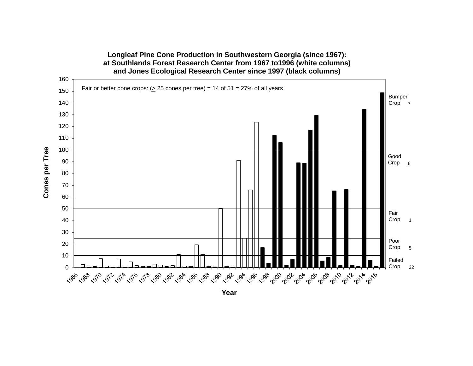

# **Longleaf Pine Cone Production in Southwestern Georgia (since 1967):**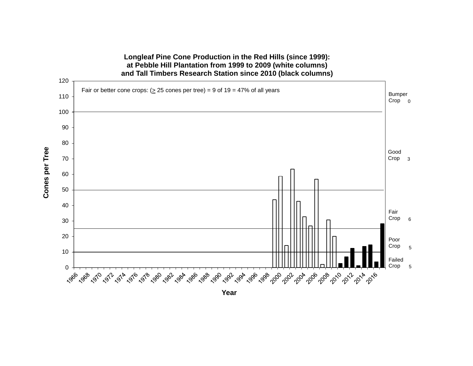

**Longleaf Pine Cone Production in the Red Hills (since 1999): at Pebble Hill Plantation from 1999 to 2009 (white columns)**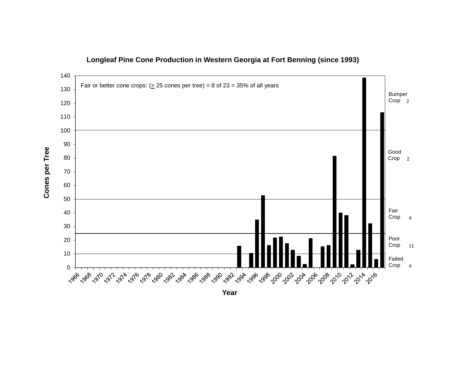

**Longleaf Pine Cone Production in Western Georgia at Fort Benning (since 1993)**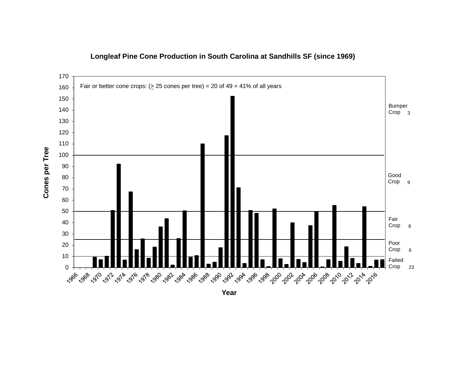

#### **Longleaf Pine Cone Production in South Carolina at Sandhills SF (since 1969)**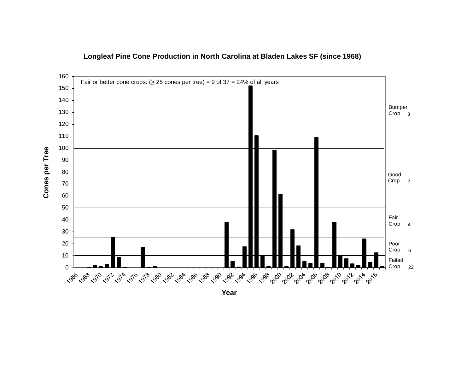

#### **Longleaf Pine Cone Production in North Carolina at Bladen Lakes SF (since 1968)**